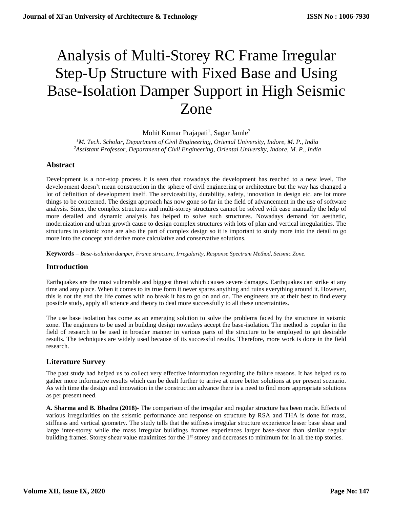# Analysis of Multi-Storey RC Frame Irregular Step-Up Structure with Fixed Base and Using Base-Isolation Damper Support in High Seismic Zone

Mohit Kumar Prajapati<sup>1</sup>, Sagar Jamle<sup>2</sup>

*<sup>1</sup>M. Tech. Scholar, Department of Civil Engineering, Oriental University, Indore, M. P., India <sup>2</sup>Assistant Professor, Department of Civil Engineering, Oriental University, Indore, M. P., India*

## **Abstract**

Development is a non-stop process it is seen that nowadays the development has reached to a new level. The development doesn't mean construction in the sphere of civil engineering or architecture but the way has changed a lot of definition of development itself. The serviceability, durability, safety, innovation in design etc. are lot more things to be concerned. The design approach has now gone so far in the field of advancement in the use of software analysis. Since, the complex structures and multi-storey structures cannot be solved with ease manually the help of more detailed and dynamic analysis has helped to solve such structures. Nowadays demand for aesthetic, modernization and urban growth cause to design complex structures with lots of plan and vertical irregularities. The structures in seismic zone are also the part of complex design so it is important to study more into the detail to go more into the concept and derive more calculative and conservative solutions.

**Keywords –** *Base-isolation damper, Frame structure, Irregularity, Response Spectrum Method, Seismic Zone.*

## **Introduction**

Earthquakes are the most vulnerable and biggest threat which causes severe damages. Earthquakes can strike at any time and any place. When it comes to its true form it never spares anything and ruins everything around it. However, this is not the end the life comes with no break it has to go on and on. The engineers are at their best to find every possible study, apply all science and theory to deal more successfully to all these uncertainties.

The use base isolation has come as an emerging solution to solve the problems faced by the structure in seismic zone. The engineers to be used in building design nowadays accept the base-isolation. The method is popular in the field of research to be used in broader manner in various parts of the structure to be employed to get desirable results. The techniques are widely used because of its successful results. Therefore, more work is done in the field research.

## **Literature Survey**

The past study had helped us to collect very effective information regarding the failure reasons. It has helped us to gather more informative results which can be dealt further to arrive at more better solutions at per present scenario. As with time the design and innovation in the construction advance there is a need to find more appropriate solutions as per present need.

**A. Sharma and B. Bhadra (2018)-** The comparison of the irregular and regular structure has been made. Effects of various irregularities on the seismic performance and response on structure by RSA and THA is done for mass, stiffness and vertical geometry. The study tells that the stiffness irregular structure experience lesser base shear and large inter-storey while the mass irregular buildings frames experiences larger base-shear than similar regular building frames. Storey shear value maximizes for the 1<sup>st</sup> storey and decreases to minimum for in all the top stories.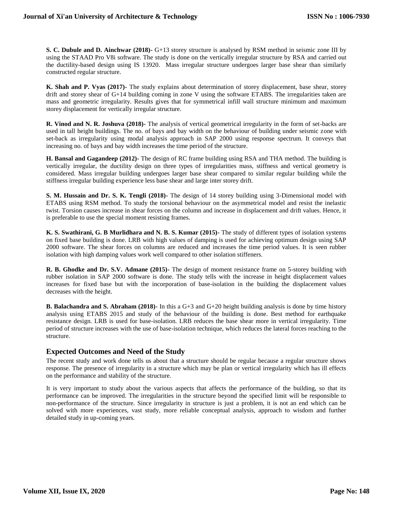**S. C. Dubule and D. Ainchwar (2018)-** G+13 storey structure is analysed by RSM method in seismic zone III by using the STAAD Pro V8i software. The study is done on the vertically irregular structure by RSA and carried out the ductility-based design using IS 13920. Mass irregular structure undergoes larger base shear than similarly constructed regular structure.

**K. Shah and P. Vyas (2017)-** The study explains about determination of storey displacement, base shear, storey drift and storey shear of G+14 building coming in zone V using the software ETABS. The irregularities taken are mass and geometric irregularity. Results gives that for symmetrical infill wall structure minimum and maximum storey displacement for vertically irregular structure.

**R. Vinod and N. R. Joshuva (2018)-** The analysis of vertical geometrical irregularity in the form of set-backs are used in tall height buildings. The no. of bays and bay width on the behaviour of building under seismic zone with set-back as irregularity using modal analysis approach in SAP 2000 using response spectrum. It conveys that increasing no. of bays and bay width increases the time period of the structure.

**H. Bansal and Gagandeep (2012)-** The design of RC frame building using RSA and THA method. The building is vertically irregular, the ductility design on three types of irregularities mass, stiffness and vertical geometry is considered. Mass irregular building undergoes larger base shear compared to similar regular building while the stiffness irregular building experience less base shear and large inter storey drift.

**S. M. Hussain and Dr. S. K. Tengli (2018)-** The design of 14 storey building using 3-Dimensional model with ETABS using RSM method. To study the torsional behaviour on the asymmetrical model and resist the inelastic twist. Torsion causes increase in shear forces on the column and increase in displacement and drift values. Hence, it is preferable to use the special moment resisting frames.

**K. S. Swathirani, G. B Murlidhara and N. B. S. Kumar (2015)-** The study of different types of isolation systems on fixed base building is done. LRB with high values of damping is used for achieving optimum design using SAP 2000 software. The shear forces on columns are reduced and increases the time period values. It is seen rubber isolation with high damping values work well compared to other isolation stiffeners.

**R. B. Ghodke and Dr. S.V. Admane (2015)-** The design of moment resistance frame on 5-storey building with rubber isolation in SAP 2000 software is done. The study tells with the increase in height displacement values increases for fixed base but with the incorporation of base-isolation in the building the displacement values decreases with the height.

**B. Balachandra and S. Abraham (2018)-** In this a G+3 and G+20 height building analysis is done by time history analysis using ETABS 2015 and study of the behaviour of the building is done. Best method for earthquake resistance design. LRB is used for base-isolation. LRB reduces the base shear more in vertical irregularity. Time period of structure increases with the use of base-isolation technique, which reduces the lateral forces reaching to the structure.

# **Expected Outcomes and Need of the Study**

The recent study and work done tells us about that a structure should be regular because a regular structure shows response. The presence of irregularity in a structure which may be plan or vertical irregularity which has ill effects on the performance and stability of the structure.

It is very important to study about the various aspects that affects the performance of the building, so that its performance can be improved. The irregularities in the structure beyond the specified limit will be responsible to non-performance of the structure. Since irregularity in structure is just a problem, it is not an end which can be solved with more experiences, vast study, more reliable conceptual analysis, approach to wisdom and further detailed study in up-coming years.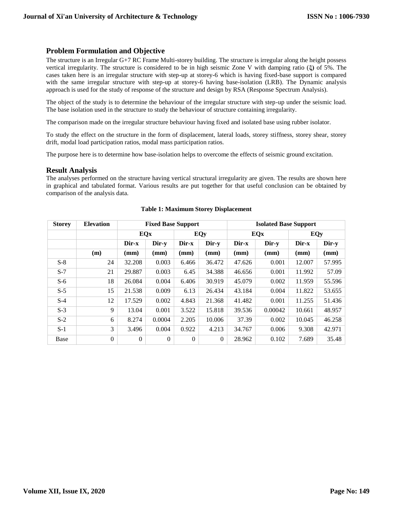## **Problem Formulation and Objective**

The structure is an Irregular G+7 RC Frame Multi-storey building. The structure is irregular along the height possess vertical irregularity. The structure is considered to be in high seismic Zone V with damping ratio (**ξ)** of 5%. The cases taken here is an irregular structure with step-up at storey-6 which is having fixed-base support is compared with the same irregular structure with step-up at storey-6 having base-isolation (LRB). The Dynamic analysis approach is used for the study of response of the structure and design by RSA (Response Spectrum Analysis).

The object of the study is to determine the behaviour of the irregular structure with step-up under the seismic load. The base isolation used in the structure to study the behaviour of structure containing irregularity.

The comparison made on the irregular structure behaviour having fixed and isolated base using rubber isolator.

To study the effect on the structure in the form of displacement, lateral loads, storey stiffness, storey shear, storey drift, modal load participation ratios, modal mass participation ratios.

The purpose here is to determine how base-isolation helps to overcome the effects of seismic ground excitation.

### **Result Analysis**

The analyses performed on the structure having vertical structural irregularity are given. The results are shown here in graphical and tabulated format. Various results are put together for that useful conclusion can be obtained by comparison of the analysis data.

| <b>Storey</b> | <b>Elevation</b> | <b>Fixed Base Support</b> |              |          |          | <b>Isolated Base Support</b> |         |        |        |  |
|---------------|------------------|---------------------------|--------------|----------|----------|------------------------------|---------|--------|--------|--|
|               |                  | <b>EQx</b>                |              | EQy      |          | EQx                          |         | EQy    |        |  |
|               |                  | Dir-x                     | Dir-y        | Dir-x    | Dir-y    | Dir-x                        | Dir-y   | Dir-x  | Dir-y  |  |
|               | (m)              | (mm)                      | (mm)         | (mm)     | (mm)     | (mm)                         | (mm)    | (mm)   | (mm)   |  |
| $S-8$         | 24               | 32.208                    | 0.003        | 6.466    | 36.472   | 47.626                       | 0.001   | 12.007 | 57.995 |  |
| $S-7$         | 21               | 29.887                    | 0.003        | 6.45     | 34.388   | 46.656                       | 0.001   | 11.992 | 57.09  |  |
| $S-6$         | 18               | 26.084                    | 0.004        | 6.406    | 30.919   | 45.079                       | 0.002   | 11.959 | 55.596 |  |
| $S-5$         | 15               | 21.538                    | 0.009        | 6.13     | 26.434   | 43.184                       | 0.004   | 11.822 | 53.655 |  |
| $S-4$         | 12               | 17.529                    | 0.002        | 4.843    | 21.368   | 41.482                       | 0.001   | 11.255 | 51.436 |  |
| $S-3$         | 9                | 13.04                     | 0.001        | 3.522    | 15.818   | 39.536                       | 0.00042 | 10.661 | 48.957 |  |
| $S-2$         | 6                | 8.274                     | 0.0004       | 2.205    | 10.006   | 37.39                        | 0.002   | 10.045 | 46.258 |  |
| $S-1$         | 3                | 3.496                     | 0.004        | 0.922    | 4.213    | 34.767                       | 0.006   | 9.308  | 42.971 |  |
| Base          | $\mathbf{0}$     | $\Omega$                  | $\mathbf{0}$ | $\theta$ | $\Omega$ | 28.962                       | 0.102   | 7.689  | 35.48  |  |

#### **Table 1: Maximum Storey Displacement**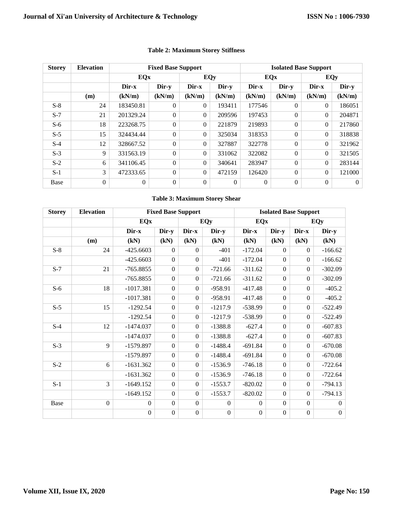| <b>Storey</b> | <b>Elevation</b> | <b>Fixed Base Support</b> |          |          |          | <b>Isolated Base Support</b> |          |              |          |  |
|---------------|------------------|---------------------------|----------|----------|----------|------------------------------|----------|--------------|----------|--|
|               |                  | <b>EQx</b>                |          | EQy      |          | EQx                          |          | EQy          |          |  |
|               |                  | Dir-x                     | Dir-y    | $Dir-x$  | Dir-y    | Dir-x                        | Dir-y    | Dir-x        | Dir-y    |  |
|               | (m)              | (kN/m)                    | (kN/m)   | (kN/m)   | (kN/m)   | (kN/m)                       | (kN/m)   | (kN/m)       | (kN/m)   |  |
| $S-8$         | 24               | 183450.81                 | $\Omega$ | $\Omega$ | 193411   | 177546                       | $\Omega$ | $\Omega$     | 186051   |  |
| $S-7$         | 21               | 201329.24                 | $\Omega$ | $\Omega$ | 209596   | 197453                       | $\Omega$ | $\Omega$     | 204871   |  |
| $S-6$         | 18               | 223268.75                 | $\Omega$ | $\Omega$ | 221879   | 219893                       | $\Omega$ | $\Omega$     | 217860   |  |
| $S-5$         | 15               | 324434.44                 | $\Omega$ | $\Omega$ | 325034   | 318353                       | $\Omega$ | $\mathbf{0}$ | 318838   |  |
| $S-4$         | 12               | 328667.52                 | $\Omega$ | $\Omega$ | 327887   | 322778                       | $\Omega$ | $\Omega$     | 321962   |  |
| $S-3$         | 9                | 331563.19                 | $\Omega$ | $\Omega$ | 331062   | 322082                       | $\Omega$ | $\Omega$     | 321505   |  |
| $S-2$         | 6                | 341106.45                 | $\Omega$ | $\Omega$ | 340641   | 283947                       | $\Omega$ | $\Omega$     | 283144   |  |
| $S-1$         | 3                | 472333.65                 | $\Omega$ | $\Omega$ | 472159   | 126420                       | $\Omega$ | $\Omega$     | 121000   |  |
| Base          | $\overline{0}$   | $\theta$                  | $\Omega$ | $\Omega$ | $\Omega$ | $\overline{0}$               | $\Omega$ | $\theta$     | $\Omega$ |  |

# **Table 2: Maximum Storey Stiffness**

## **Table 3: Maximum Storey Shear**

| <b>Storey</b> | <b>Elevation</b> | <b>Fixed Base Support</b> |                  |                  |                  | <b>Isolated Base Support</b> |                  |                  |                |  |
|---------------|------------------|---------------------------|------------------|------------------|------------------|------------------------------|------------------|------------------|----------------|--|
|               |                  | <b>EQx</b>                |                  |                  | <b>EQy</b>       | <b>EQx</b>                   |                  |                  | <b>EQy</b>     |  |
|               |                  | Dir-x                     | Dir-y            | Dir-x            | Dir-y            | Dir-x                        | Dir-y            | Dir-x            | Dir-y          |  |
|               | (m)              | (kN)                      | (kN)             | (kN)             | (kN)             | (kN)                         | (kN)             | (kN)             | (kN)           |  |
| $S-8$         | 24               | $-425.6603$               | $\boldsymbol{0}$ | $\overline{0}$   | $-401$           | $-172.04$                    | $\boldsymbol{0}$ | $\overline{0}$   | $-166.62$      |  |
|               |                  | $-425.6603$               | $\boldsymbol{0}$ | $\mathbf{0}$     | $-401$           | $-172.04$                    | $\boldsymbol{0}$ | $\mathbf{0}$     | $-166.62$      |  |
| $S-7$         | 21               | $-765.8855$               | $\overline{0}$   | $\boldsymbol{0}$ | $-721.66$        | $-311.62$                    | $\mathbf{0}$     | $\mathbf{0}$     | $-302.09$      |  |
|               |                  | $-765.8855$               | $\boldsymbol{0}$ | $\overline{0}$   | $-721.66$        | $-311.62$                    | $\mathbf{0}$     | $\mathbf{0}$     | $-302.09$      |  |
| $S-6$         | 18               | $-1017.381$               | $\boldsymbol{0}$ | $\boldsymbol{0}$ | $-958.91$        | $-417.48$                    | $\boldsymbol{0}$ | $\overline{0}$   | $-405.2$       |  |
|               |                  | $-1017.381$               | $\boldsymbol{0}$ | $\overline{0}$   | -958.91          | $-417.48$                    | $\mathbf{0}$     | $\overline{0}$   | $-405.2$       |  |
| $S-5$         | 15               | $-1292.54$                | $\overline{0}$   | $\overline{0}$   | $-1217.9$        | $-538.99$                    | $\mathbf{0}$     | $\mathbf{0}$     | $-522.49$      |  |
|               |                  | $-1292.54$                | $\boldsymbol{0}$ | $\overline{0}$   | $-1217.9$        | $-538.99$                    | $\boldsymbol{0}$ | $\mathbf{0}$     | $-522.49$      |  |
| $S-4$         | 12               | $-1474.037$               | $\boldsymbol{0}$ | $\overline{0}$   | $-1388.8$        | $-627.4$                     | $\mathbf{0}$     | $\mathbf{0}$     | $-607.83$      |  |
|               |                  | $-1474.037$               | $\overline{0}$   | $\overline{0}$   | $-1388.8$        | $-627.4$                     | $\boldsymbol{0}$ | $\mathbf{0}$     | $-607.83$      |  |
| $S-3$         | 9                | $-1579.897$               | $\theta$         | $\overline{0}$   | $-1488.4$        | $-691.84$                    | $\boldsymbol{0}$ | $\mathbf{0}$     | $-670.08$      |  |
|               |                  | $-1579.897$               | $\boldsymbol{0}$ | $\overline{0}$   | $-1488.4$        | $-691.84$                    | $\overline{0}$   | $\overline{0}$   | $-670.08$      |  |
| $S-2$         | 6                | $-1631.362$               | $\boldsymbol{0}$ | $\overline{0}$   | $-1536.9$        | $-746.18$                    | $\boldsymbol{0}$ | $\overline{0}$   | $-722.64$      |  |
|               |                  | $-1631.362$               | $\boldsymbol{0}$ | $\overline{0}$   | $-1536.9$        | $-746.18$                    | $\boldsymbol{0}$ | $\mathbf{0}$     | $-722.64$      |  |
| $S-1$         | 3                | $-1649.152$               | $\boldsymbol{0}$ | $\boldsymbol{0}$ | $-1553.7$        | $-820.02$                    | $\boldsymbol{0}$ | $\boldsymbol{0}$ | $-794.13$      |  |
|               |                  | $-1649.152$               | $\boldsymbol{0}$ | $\overline{0}$   | $-1553.7$        | $-820.02$                    | $\boldsymbol{0}$ | $\boldsymbol{0}$ | $-794.13$      |  |
| Base          | $\overline{0}$   | $\boldsymbol{0}$          | $\overline{0}$   | $\boldsymbol{0}$ | $\boldsymbol{0}$ | $\overline{0}$               | $\boldsymbol{0}$ | $\boldsymbol{0}$ | $\overline{0}$ |  |
|               |                  | $\boldsymbol{0}$          | $\boldsymbol{0}$ | $\boldsymbol{0}$ | $\boldsymbol{0}$ | $\boldsymbol{0}$             | $\boldsymbol{0}$ | $\boldsymbol{0}$ | $\overline{0}$ |  |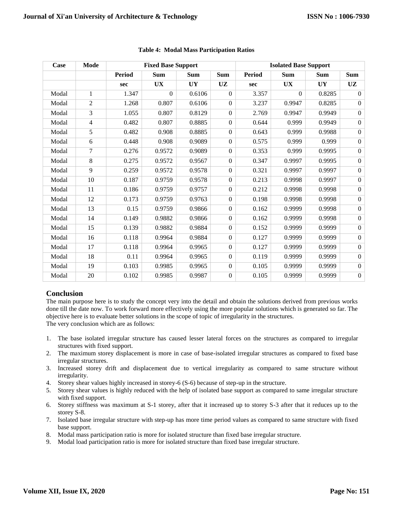| Case  | Mode           |               | <b>Fixed Base Support</b> |            | <b>Isolated Base Support</b> |               |            |            |                  |
|-------|----------------|---------------|---------------------------|------------|------------------------------|---------------|------------|------------|------------------|
|       |                | <b>Period</b> | <b>Sum</b>                | <b>Sum</b> | <b>Sum</b>                   | <b>Period</b> | <b>Sum</b> | <b>Sum</b> | <b>Sum</b>       |
|       |                | sec           | <b>UX</b>                 | <b>UY</b>  | <b>UZ</b>                    | sec           | <b>UX</b>  | <b>UY</b>  | <b>UZ</b>        |
| Modal | 1              | 1.347         | $\Omega$                  | 0.6106     | $\Omega$                     | 3.357         | $\Omega$   | 0.8285     | $\overline{0}$   |
| Modal | $\mathfrak{2}$ | 1.268         | 0.807                     | 0.6106     | $\overline{0}$               | 3.237         | 0.9947     | 0.8285     | $\Omega$         |
| Modal | 3              | 1.055         | 0.807                     | 0.8129     | $\Omega$                     | 2.769         | 0.9947     | 0.9949     | $\overline{0}$   |
| Modal | 4              | 0.482         | 0.807                     | 0.8885     | $\Omega$                     | 0.644         | 0.999      | 0.9949     | $\overline{0}$   |
| Modal | 5              | 0.482         | 0.908                     | 0.8885     | $\theta$                     | 0.643         | 0.999      | 0.9988     | $\boldsymbol{0}$ |
| Modal | 6              | 0.448         | 0.908                     | 0.9089     | $\overline{0}$               | 0.575         | 0.999      | 0.999      | $\overline{0}$   |
| Modal | 7              | 0.276         | 0.9572                    | 0.9089     | $\Omega$                     | 0.353         | 0.999      | 0.9995     | $\Omega$         |
| Modal | 8              | 0.275         | 0.9572                    | 0.9567     | $\Omega$                     | 0.347         | 0.9997     | 0.9995     | $\overline{0}$   |
| Modal | 9              | 0.259         | 0.9572                    | 0.9578     | $\Omega$                     | 0.321         | 0.9997     | 0.9997     | $\overline{0}$   |
| Modal | 10             | 0.187         | 0.9759                    | 0.9578     | $\overline{0}$               | 0.213         | 0.9998     | 0.9997     | $\overline{0}$   |
| Modal | 11             | 0.186         | 0.9759                    | 0.9757     | $\overline{0}$               | 0.212         | 0.9998     | 0.9998     | $\overline{0}$   |
| Modal | 12             | 0.173         | 0.9759                    | 0.9763     | $\Omega$                     | 0.198         | 0.9998     | 0.9998     | $\overline{0}$   |
| Modal | 13             | 0.15          | 0.9759                    | 0.9866     | $\Omega$                     | 0.162         | 0.9999     | 0.9998     | $\overline{0}$   |
| Modal | 14             | 0.149         | 0.9882                    | 0.9866     | $\theta$                     | 0.162         | 0.9999     | 0.9998     | $\overline{0}$   |
| Modal | 15             | 0.139         | 0.9882                    | 0.9884     | $\overline{0}$               | 0.152         | 0.9999     | 0.9999     | $\overline{0}$   |
| Modal | 16             | 0.118         | 0.9964                    | 0.9884     | $\Omega$                     | 0.127         | 0.9999     | 0.9999     | $\overline{0}$   |
| Modal | 17             | 0.118         | 0.9964                    | 0.9965     | $\Omega$                     | 0.127         | 0.9999     | 0.9999     | $\overline{0}$   |
| Modal | 18             | 0.11          | 0.9964                    | 0.9965     | $\overline{0}$               | 0.119         | 0.9999     | 0.9999     | $\overline{0}$   |
| Modal | 19             | 0.103         | 0.9985                    | 0.9965     | $\Omega$                     | 0.105         | 0.9999     | 0.9999     | $\overline{0}$   |
| Modal | $20\,$         | 0.102         | 0.9985                    | 0.9987     | $\overline{0}$               | 0.105         | 0.9999     | 0.9999     | $\overline{0}$   |

## **Table 4: Modal Mass Participation Ratios**

# **Conclusion**

The main purpose here is to study the concept very into the detail and obtain the solutions derived from previous works done till the date now. To work forward more effectively using the more popular solutions which is generated so far. The objective here is to evaluate better solutions in the scope of topic of irregularity in the structures. The very conclusion which are as follows:

- 1. The base isolated irregular structure has caused lesser lateral forces on the structures as compared to irregular structures with fixed support.
- 2. The maximum storey displacement is more in case of base-isolated irregular structures as compared to fixed base irregular structures.
- 3. Increased storey drift and displacement due to vertical irregularity as compared to same structure without irregularity.
- 4. Storey shear values highly increased in storey-6 (S-6) because of step-up in the structure.
- 5. Storey shear values is highly reduced with the help of isolated base support as compared to same irregular structure with fixed support.
- 6. Storey stiffness was maximum at S-1 storey, after that it increased up to storey S-3 after that it reduces up to the storey S-8.
- 7. Isolated base irregular structure with step-up has more time period values as compared to same structure with fixed base support.
- 8. Modal mass participation ratio is more for isolated structure than fixed base irregular structure.
- 9. Modal load participation ratio is more for isolated structure than fixed base irregular structure.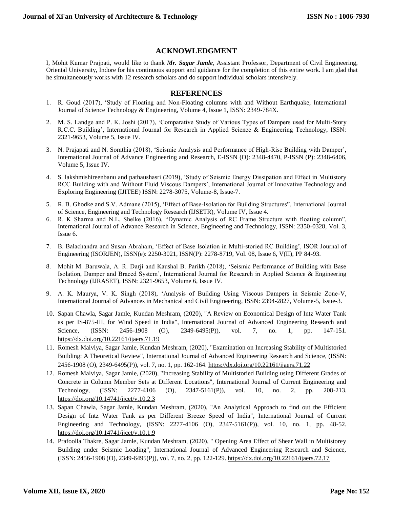## **ACKNOWLEDGMENT**

I, Mohit Kumar Prajpati, would like to thank *Mr. Sagar Jamle*, Assistant Professor, Department of Civil Engineering, Oriental University, Indore for his continuous support and guidance for the completion of this entire work. I am glad that he simultaneously works with 12 research scholars and do support individual scholars intensively.

## **REFERENCES**

- 1. R. Goud (2017), 'Study of Floating and Non-Floating columns with and Without Earthquake, International Journal of Science Technology & Engineering, Volume 4, Issue 1, ISSN: 2349-784X.
- 2. M. S. Landge and P. K. Joshi (2017), 'Comparative Study of Various Types of Dampers used for Multi-Story R.C.C. Building', International Journal for Research in Applied Science & Engineering Technology, ISSN: 2321-9653, Volume 5, Issue IV.
- 3. N. Prajapati and N. Sorathia (2018), 'Seismic Analysis and Performance of High-Rise Building with Damper', International Journal of Advance Engineering and Research, E-ISSN (O): 2348-4470, P-ISSN (P): 2348-6406, Volume 5, Issue IV.
- 4. S. lakshmishireenbanu and pathaushasri (2019), 'Study of Seismic Energy Dissipation and Effect in Multistory RCC Building with and Without Fluid Viscous Dampers', International Journal of Innovative Technology and Exploring Engineering (IJITEE) ISSN: 2278-3075, Volume-8, Issue-7.
- 5. R. B. Ghodke and S.V. Admane (2015), 'Effect of Base-Isolation for Building Structures", International Journal of Science, Engineering and Technology Research (IJSETR), Volume IV, Issue 4.
- 6. R. K Sharma and N.L. Shelke (2016), "Dynamic Analysis of RC Frame Structure with floating column", International Journal of Advance Research in Science, Engineering and Technology, ISSN: 2350-0328, Vol. 3, Issue 6.
- 7. B. Balachandra and Susan Abraham, 'Effect of Base Isolation in Multi-storied RC Building', ISOR Journal of Engineering (ISORJEN), ISSN(e): 2250-3021, ISSN(P): 2278-8719, Vol. 08, Issue 6, V(II), PP 84-93.
- 8. Mohit M. Baruwala, A. R. Darji and Kaushal B. Parikh (2018), 'Seismic Performance of Building with Base Isolation, Damper and Braced System', International Journal for Research in Applied Science & Engineering Technology (IJRASET), ISSN: 2321-9653, Volume 6, Issue IV.
- 9. A. K. Maurya, V. K. Singh (2018), 'Analysis of Building Using Viscous Dampers in Seismic Zone-V, International Journal of Advances in Mechanical and Civil Engineering, ISSN: 2394-2827, Volume-5, Issue-3.
- 10. Sapan Chawla, Sagar Jamle, Kundan Meshram, (2020), "A Review on Economical Design of Intz Water Tank as per IS-875-III, for Wind Speed in India", International Journal of Advanced Engineering Research and Science, (ISSN: 2456-1908 (O), 2349-6495(P)), vol. 7, no. 1, pp. 147-151. <https://dx.doi.org/10.22161/ijaers.71.19>
- 11. Romesh Malviya, Sagar Jamle, Kundan Meshram, (2020), "Examination on Increasing Stability of Multistoried Building: A Theoretical Review", International Journal of Advanced Engineering Research and Science, (ISSN: 2456-1908 (O), 2349-6495(P)), vol. 7, no. 1, pp. 162-164[. https://dx.doi.org/10.22161/ijaers.71.22](https://dx.doi.org/10.22161/ijaers.71.22)
- 12. Romesh Malviya, Sagar Jamle, (2020), "Increasing Stability of Multistoried Building using Different Grades of Concrete in Column Member Sets at Different Locations", International Journal of Current Engineering and Technology, (ISSN: 2277-4106 (O), 2347-5161(P)), vol. 10, no. 2, pp. 208-213. <https://doi.org/10.14741/ijcet/v.10.2.3>
- 13. Sapan Chawla, Sagar Jamle, Kundan Meshram, (2020), "An Analytical Approach to find out the Efficient Design of Intz Water Tank as per Different Breeze Speed of India", International Journal of Current Engineering and Technology, (ISSN: 2277-4106 (O), 2347-5161(P)), vol. 10, no. 1, pp. 48-52. <https://doi.org/10.14741/ijcet/v.10.1.9>
- 14. Prafoolla Thakre, Sagar Jamle, Kundan Meshram, (2020), " Opening Area Effect of Shear Wall in Multistorey Building under Seismic Loading", International Journal of Advanced Engineering Research and Science, (ISSN: 2456-1908 (O), 2349-6495(P)), vol. 7, no. 2, pp. 122-129.<https://dx.doi.org/10.22161/ijaers.72.17>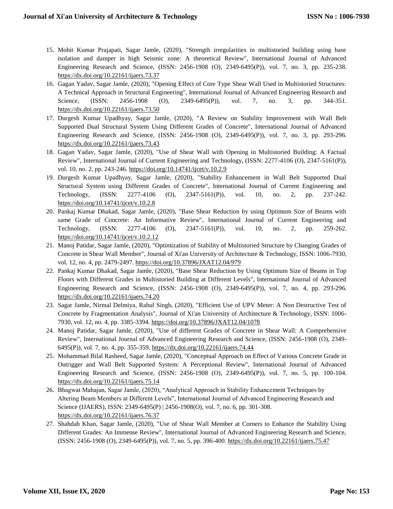- 15. Mohit Kumar Prajapati, Sagar Jamle, (2020), "Strength irregularities in multistoried building using base isolation and damper in high Seismic zone: A theoretical Review", International Journal of Advanced Engineering Research and Science, (ISSN: 2456-1908 (O), 2349-6495(P)), vol. 7, no. 3, pp. 235-238. <https://dx.doi.org/10.22161/ijaers.73.37>
- 16. Gagan Yadav, Sagar Jamle, (2020), "Opening Effect of Core Type Shear Wall Used in Multistoried Structures: A Technical Approach in Structural Engineering", International Journal of Advanced Engineering Research and Science, (ISSN: 2456-1908 (O), 2349-6495(P)), vol. 7, no. 3, pp. 344-351. <https://dx.doi.org/10.22161/ijaers.73.50>
- 17. Durgesh Kumar Upadhyay, Sagar Jamle, (2020), "A Review on Stability Improvement with Wall Belt Supported Dual Structural System Using Different Grades of Concrete", International Journal of Advanced Engineering Research and Science, (ISSN: 2456-1908 (O), 2349-6495(P)), vol. 7, no. 3, pp. 293-296. <https://dx.doi.org/10.22161/ijaers.73.43>
- 18. Gagan Yadav, Sagar Jamle, (2020), "Use of Shear Wall with Opening in Multistoried Building: A Factual Review", International Journal of Current Engineering and Technology, (ISSN: 2277-4106 (O), 2347-5161(P)), vol. 10, no. 2, pp. 243-246. https://doi.org/10.14741/ijcet/v.10.2.9
- 19. Durgesh Kumar Upadhyay, Sagar Jamle, (2020), "Stability Enhancement in Wall Belt Supported Dual Structural System using Different Grades of Concrete", International Journal of Current Engineering and Technology, (ISSN: 2277-4106 (O), 2347-5161(P)), vol. 10, no. 2, pp. 237-242. <https://doi.org/10.14741/ijcet/v.10.2.8>
- 20. Pankaj Kumar Dhakad, Sagar Jamle, (2020), "Base Shear Reduction by using Optimum Size of Beams with same Grade of Concrete: An Informative Review", International Journal of Current Engineering and Technology, (ISSN: 2277-4106 (O), 2347-5161(P)), vol. 10, no. 2, pp. 259-262. <https://doi.org/10.14741/ijcet/v.10.2.12>
- 21. Manoj Patidar, Sagar Jamle, (2020), "Optimization of Stability of Multistoried Structure by Changing Grades of Concrete in Shear Wall Member", Journal of Xi'an University of Architecture & Technology, ISSN: 1006-7930, vol. 12, no. 4, pp. 2479-2497.<https://doi.org/10.37896/JXAT12.04/979>
- 22. Pankaj Kumar Dhakad, Sagar Jamle, (2020), "Base Shear Reduction by Using Optimum Size of Beams in Top Floors with Different Grades in Multistoried Building at Different Levels", International Journal of Advanced Engineering Research and Science, (ISSN: 2456-1908 (O), 2349-6495(P)), vol. 7, no. 4, pp. 293-296. <https://dx.doi.org/10.22161/ijaers.74.20>
- 23. Sagar Jamle, Nirmal Delmiya, Rahul Singh, (2020), "Efficient Use of UPV Meter: A Non Destructive Test of Concrete by Fragmentation Analysis", Journal of Xi'an University of Architecture & Technology, ISSN: 1006- 7930, vol. 12, no. 4, pp. 3385-3394.<https://doi.org/10.37896/JXAT12.04/1078>
- 24. Manoj Patidar, Sagar Jamle, (2020), "Use of different Grades of Concrete in Shear Wall: A Comprehensive Review", International Journal of Advanced Engineering Research and Science, (ISSN: 2456-1908 (O), 2349- 6495(P)), vol. 7, no. 4, pp. 355-359[. https://dx.doi.org/10.22161/ijaers.74.44](https://dx.doi.org/10.22161/ijaers.74.44)
- 25. Mohammad Bilal Rasheed, Sagar Jamle, (2020), "Conceptual Approach on Effect of Various Concrete Grade in Outrigger and Wall Belt Supported System: A Perceptional Review", International Journal of Advanced Engineering Research and Science, (ISSN: 2456-1908 (O), 2349-6495(P)), vol. 7, no. 5, pp. 100-104. <https://dx.doi.org/10.22161/ijaers.75.14>
- 26. Bhagwat Mahajan, Sagar Jamle, (2020), "Analytical Approach in Stability Enhancement Techniques by Altering Beam Members at Different Levels", International Journal of Advanced Engineering Research and Science (IJAERS), ISSN: 2349-6495(P) | 2456-1908(O), vol. 7, no. 6, pp. 301-308. <https://dx.doi.org/10.22161/ijaers.76.37>
- 27. Shahdab Khan, Sagar Jamle, (2020), "Use of Shear Wall Member at Corners to Enhance the Stability Using Different Grades: An Immense Review", International Journal of Advanced Engineering Research and Science, (ISSN: 2456-1908 (O), 2349-6495(P)), vol. 7, no. 5, pp. 396-400.<https://dx.doi.org/10.22161/ijaers.75.47>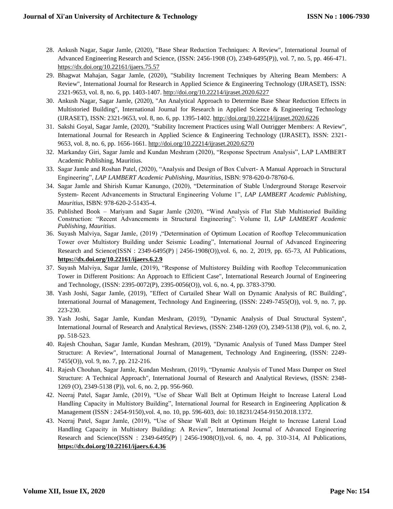- 28. Ankush Nagar, Sagar Jamle, (2020), "Base Shear Reduction Techniques: A Review", International Journal of Advanced Engineering Research and Science, (ISSN: 2456-1908 (O), 2349-6495(P)), vol. 7, no. 5, pp. 466-471. <https://dx.doi.org/10.22161/ijaers.75.57>
- 29. Bhagwat Mahajan, Sagar Jamle, (2020), "Stability Increment Techniques by Altering Beam Members: A Review", International Journal for Research in Applied Science & Engineering Technology (IJRASET), ISSN: 2321-9653, vol. 8, no. 6, pp. 1403-1407.<http://doi.org/10.22214/ijraset.2020.6227>
- 30. Ankush Nagar, Sagar Jamle, (2020), "An Analytical Approach to Determine Base Shear Reduction Effects in Multistoried Building", International Journal for Research in Applied Science & Engineering Technology (IJRASET), ISSN: 2321-9653, vol. 8, no. 6, pp. 1395-1402.<http://doi.org/10.22214/ijraset.2020.6226>
- 31. Sakshi Goyal, Sagar Jamle, (2020), "Stability Increment Practices using Wall Outrigger Members: A Review", International Journal for Research in Applied Science & Engineering Technology (IJRASET), ISSN: 2321- 9653, vol. 8, no. 6, pp. 1656-1661.<http://doi.org/10.22214/ijraset.2020.6270>
- 32. Markanday Giri, Sagar Jamle and Kundan Meshram (2020), "Response Spectrum Analysis", LAP LAMBERT Academic Publishing, Mauritius.
- 33. Sagar Jamle and Roshan Patel, (2020), "Analysis and Design of Box Culvert- A Manual Approach in Structural Engineering", *LAP LAMBERT Academic Publishing, Mauritius*, ISBN: 978-620-0-78760-6.
- 34. Sagar Jamle and Shirish Kumar Kanungo, (2020), "Determination of Stable Underground Storage Reservoir System- Recent Advancements in Structural Engineering Volume 1", *LAP LAMBERT Academic Publishing, Mauritius*, ISBN: 978-620-2-51435-4.
- 35. Published Book Mariyam and Sagar Jamle (2020), "Wind Analysis of Flat Slab Multistoried Building Construction: "Recent Advancements in Structural Engineering": Volume II, *LAP LAMBERT Academic Publishing, Mauritius*.
- 36. Suyash Malviya, Sagar Jamle, (2019) ,"Determination of Optimum Location of Rooftop Telecommunication Tower over Multistory Building under Seismic Loading", International Journal of Advanced Engineering Research and Science(ISSN : 2349-6495(P) | 2456-1908(O)),vol. 6, no. 2, 2019, pp. 65-73, AI Publications, **<https://dx.doi.org/10.22161/ijaers.6.2.9>**
- 37. Suyash Malviya, Sagar Jamle, (2019), "Response of Multistorey Building with Rooftop Telecommunication Tower in Different Positions: An Approach to Efficient Case", International Research Journal of Engineering and Technology, (ISSN: 2395-0072(P), 2395-0056(O)), vol. 6, no. 4, pp. 3783-3790.
- 38. Yash Joshi, Sagar Jamle, (2019), "Effect of Curtailed Shear Wall on Dynamic Analysis of RC Building", International Journal of Management, Technology And Engineering, (ISSN: 2249-7455(O)), vol. 9, no. 7, pp. 223-230.
- 39. Yash Joshi, Sagar Jamle, Kundan Meshram, (2019), "Dynamic Analysis of Dual Structural System", International Journal of Research and Analytical Reviews, (ISSN: 2348-1269 (O), 2349-5138 (P)), vol. 6, no. 2, pp. 518-523.
- 40. Rajesh Chouhan, Sagar Jamle, Kundan Meshram, (2019), "Dynamic Analysis of Tuned Mass Damper Steel Structure: A Review", International Journal of Management, Technology And Engineering, (ISSN: 2249- 7455(O)), vol. 9, no. 7, pp. 212-216.
- 41. Rajesh Chouhan, Sagar Jamle, Kundan Meshram, (2019), "Dynamic Analysis of Tuned Mass Damper on Steel Structure: A Technical Approach", International Journal of Research and Analytical Reviews, (ISSN: 2348- 1269 (O), 2349-5138 (P)), vol. 6, no. 2, pp. 956-960.
- 42. Neeraj Patel, Sagar Jamle, (2019), "Use of Shear Wall Belt at Optimum Height to Increase Lateral Load Handling Capacity in Multistory Building", International Journal for Research in Engineering Application & Management (ISSN : 2454-9150),vol. 4, no. 10, pp. 596-603, doi: 10.18231/2454-9150.2018.1372.
- 43. Neeraj Patel, Sagar Jamle, (2019), "Use of Shear Wall Belt at Optimum Height to Increase Lateral Load Handling Capacity in Multistory Building: A Review", International Journal of Advanced Engineering Research and Science(ISSN : 2349-6495(P) | 2456-1908(O)),vol. 6, no. 4, pp. 310-314, AI Publications, **<https://dx.doi.org/10.22161/ijaers.6.4.36>**